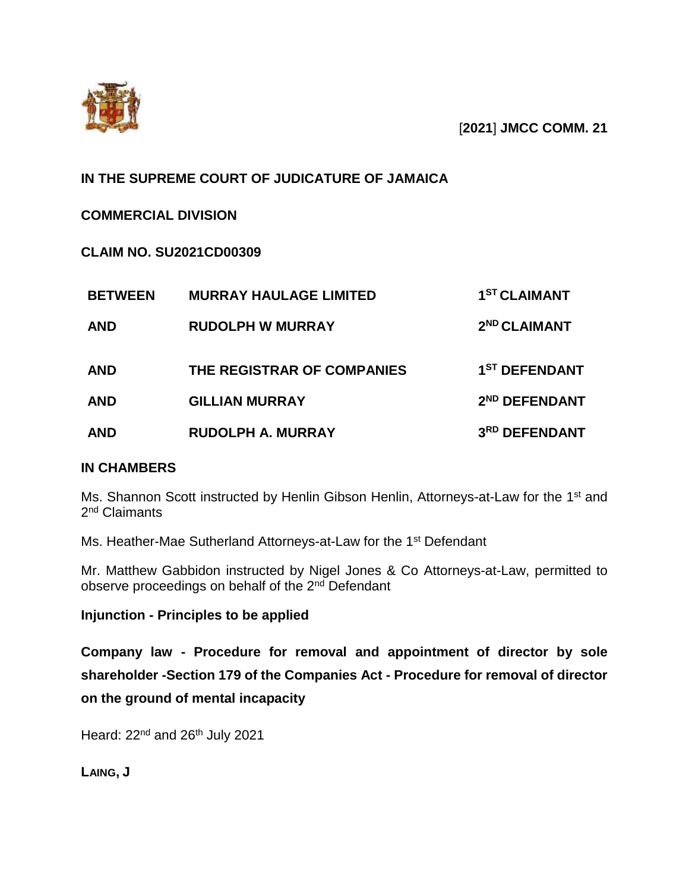

[**2021**] **JMCC COMM. 21**

# **IN THE SUPREME COURT OF JUDICATURE OF JAMAICA**

# **COMMERCIAL DIVISION**

# **CLAIM NO. SU2021CD00309**

| <b>BETWEEN</b> | <b>MURRAY HAULAGE LIMITED</b> | 1 <sup>ST</sup> CLAIMANT  |
|----------------|-------------------------------|---------------------------|
| <b>AND</b>     | <b>RUDOLPH W MURRAY</b>       | 2 <sup>ND</sup> CLAIMANT  |
| <b>AND</b>     | THE REGISTRAR OF COMPANIES    | 1 <sup>ST</sup> DEFENDANT |
| <b>AND</b>     | <b>GILLIAN MURRAY</b>         | 2 <sup>ND</sup> DEFENDANT |
| <b>AND</b>     | <b>RUDOLPH A. MURRAY</b>      | 3RD DEFENDANT             |

## **IN CHAMBERS**

Ms. Shannon Scott instructed by Henlin Gibson Henlin, Attorneys-at-Law for the 1<sup>st</sup> and 2<sup>nd</sup> Claimants

Ms. Heather-Mae Sutherland Attorneys-at-Law for the 1<sup>st</sup> Defendant

Mr. Matthew Gabbidon instructed by Nigel Jones & Co Attorneys-at-Law, permitted to observe proceedings on behalf of the 2<sup>nd</sup> Defendant

## **Injunction - Principles to be applied**

**Company law - Procedure for removal and appointment of director by sole shareholder -Section 179 of the Companies Act - Procedure for removal of director on the ground of mental incapacity**

Heard: 22<sup>nd</sup> and 26<sup>th</sup> July 2021

**LAING, J**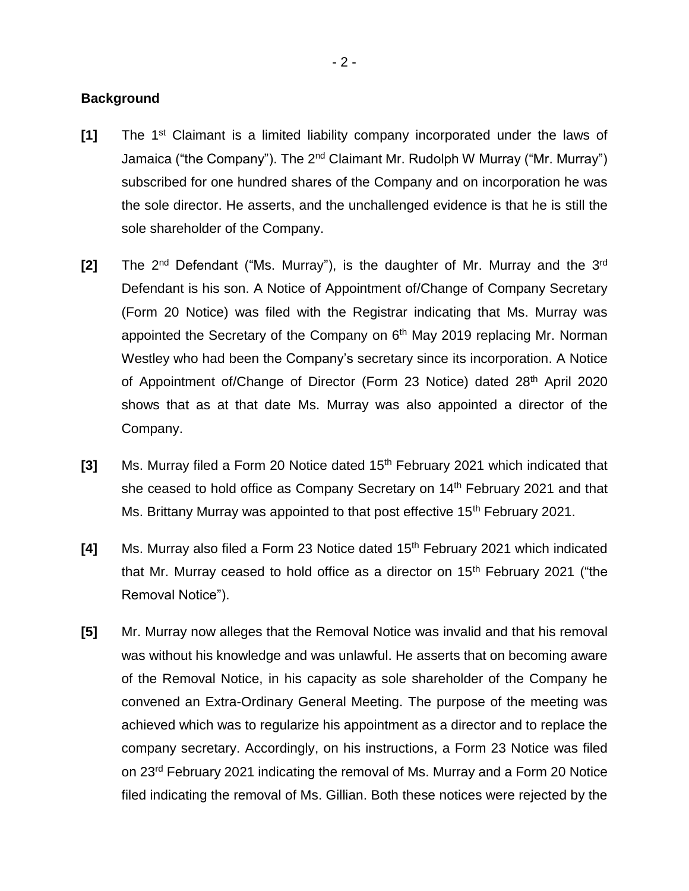#### **Background**

- [1] The 1<sup>st</sup> Claimant is a limited liability company incorporated under the laws of Jamaica ("the Company"). The 2<sup>nd</sup> Claimant Mr. Rudolph W Murray ("Mr. Murray") subscribed for one hundred shares of the Company and on incorporation he was the sole director. He asserts, and the unchallenged evidence is that he is still the sole shareholder of the Company.
- [2] The 2<sup>nd</sup> Defendant ("Ms. Murray"), is the daughter of Mr. Murray and the 3<sup>rd</sup> Defendant is his son. A Notice of Appointment of/Change of Company Secretary (Form 20 Notice) was filed with the Registrar indicating that Ms. Murray was appointed the Secretary of the Company on  $6<sup>th</sup>$  May 2019 replacing Mr. Norman Westley who had been the Company's secretary since its incorporation. A Notice of Appointment of/Change of Director (Form 23 Notice) dated 28<sup>th</sup> April 2020 shows that as at that date Ms. Murray was also appointed a director of the Company.
- **[3]** Ms. Murray filed a Form 20 Notice dated 15<sup>th</sup> February 2021 which indicated that she ceased to hold office as Company Secretary on 14<sup>th</sup> February 2021 and that Ms. Brittany Murray was appointed to that post effective 15<sup>th</sup> February 2021.
- [4] Ms. Murray also filed a Form 23 Notice dated 15<sup>th</sup> February 2021 which indicated that Mr. Murray ceased to hold office as a director on  $15<sup>th</sup>$  February 2021 ("the Removal Notice").
- **[5]** Mr. Murray now alleges that the Removal Notice was invalid and that his removal was without his knowledge and was unlawful. He asserts that on becoming aware of the Removal Notice, in his capacity as sole shareholder of the Company he convened an Extra-Ordinary General Meeting. The purpose of the meeting was achieved which was to regularize his appointment as a director and to replace the company secretary. Accordingly, on his instructions, a Form 23 Notice was filed on 23rd February 2021 indicating the removal of Ms. Murray and a Form 20 Notice filed indicating the removal of Ms. Gillian. Both these notices were rejected by the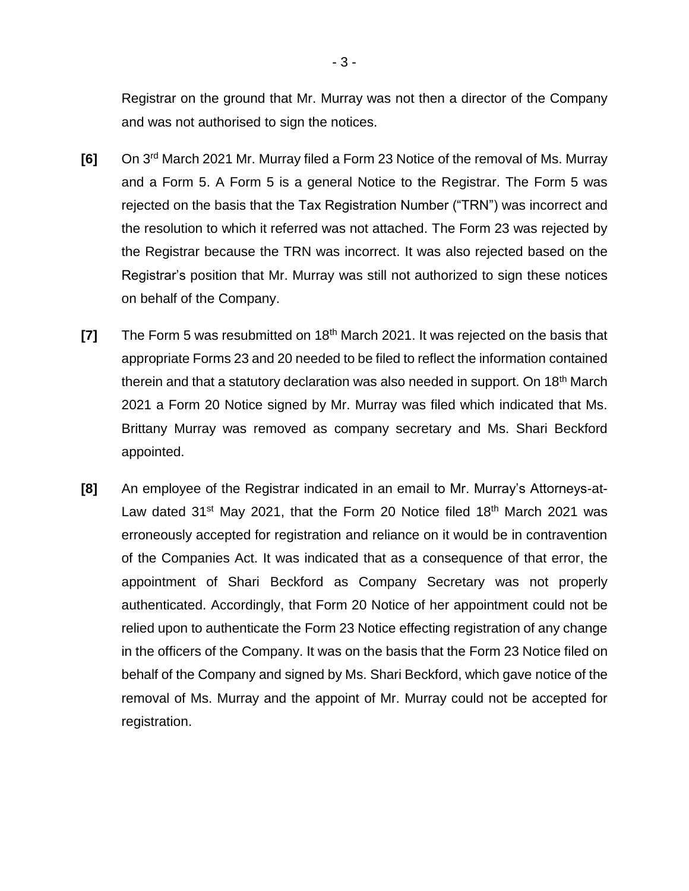Registrar on the ground that Mr. Murray was not then a director of the Company and was not authorised to sign the notices.

- **[6]** On 3rd March 2021 Mr. Murray filed a Form 23 Notice of the removal of Ms. Murray and a Form 5. A Form 5 is a general Notice to the Registrar. The Form 5 was rejected on the basis that the Tax Registration Number ("TRN") was incorrect and the resolution to which it referred was not attached. The Form 23 was rejected by the Registrar because the TRN was incorrect. It was also rejected based on the Registrar's position that Mr. Murray was still not authorized to sign these notices on behalf of the Company.
- **[7]** The Form 5 was resubmitted on 18<sup>th</sup> March 2021. It was rejected on the basis that appropriate Forms 23 and 20 needed to be filed to reflect the information contained therein and that a statutory declaration was also needed in support. On 18<sup>th</sup> March 2021 a Form 20 Notice signed by Mr. Murray was filed which indicated that Ms. Brittany Murray was removed as company secretary and Ms. Shari Beckford appointed.
- **[8]** An employee of the Registrar indicated in an email to Mr. Murray's Attorneys-at-Law dated  $31^{st}$  May 2021, that the Form 20 Notice filed  $18^{th}$  March 2021 was erroneously accepted for registration and reliance on it would be in contravention of the Companies Act. It was indicated that as a consequence of that error, the appointment of Shari Beckford as Company Secretary was not properly authenticated. Accordingly, that Form 20 Notice of her appointment could not be relied upon to authenticate the Form 23 Notice effecting registration of any change in the officers of the Company. It was on the basis that the Form 23 Notice filed on behalf of the Company and signed by Ms. Shari Beckford, which gave notice of the removal of Ms. Murray and the appoint of Mr. Murray could not be accepted for registration.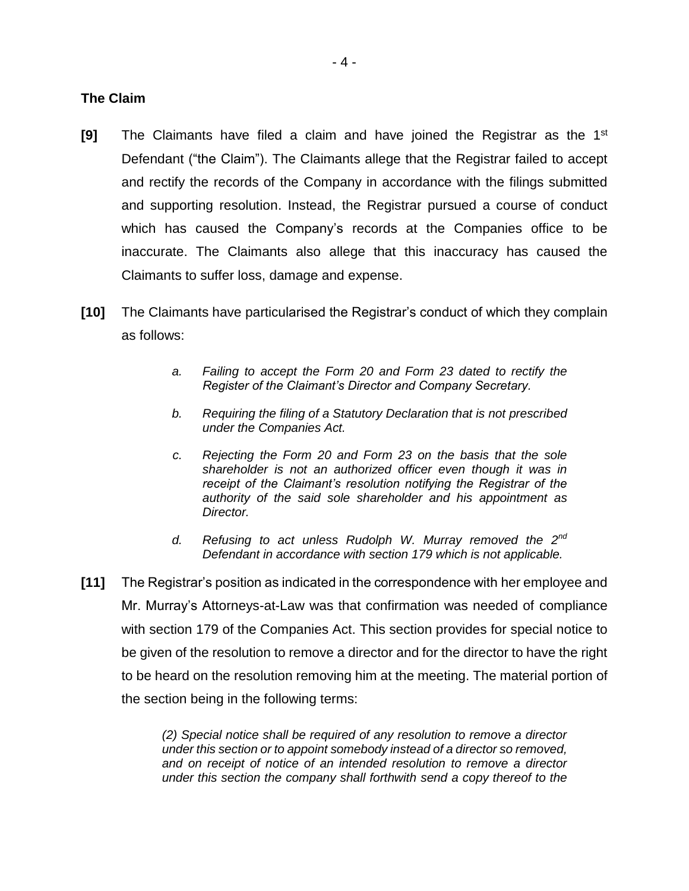#### **The Claim**

- **[9]** The Claimants have filed a claim and have joined the Registrar as the 1st Defendant ("the Claim"). The Claimants allege that the Registrar failed to accept and rectify the records of the Company in accordance with the filings submitted and supporting resolution. Instead, the Registrar pursued a course of conduct which has caused the Company's records at the Companies office to be inaccurate. The Claimants also allege that this inaccuracy has caused the Claimants to suffer loss, damage and expense.
- **[10]** The Claimants have particularised the Registrar's conduct of which they complain as follows:
	- *a. Failing to accept the Form 20 and Form 23 dated to rectify the Register of the Claimant's Director and Company Secretary.*
	- *b. Requiring the filing of a Statutory Declaration that is not prescribed under the Companies Act.*
	- *c. Rejecting the Form 20 and Form 23 on the basis that the sole shareholder is not an authorized officer even though it was in receipt of the Claimant's resolution notifying the Registrar of the authority of the said sole shareholder and his appointment as Director.*
	- *d. Refusing to act unless Rudolph W. Murray removed the 2nd Defendant in accordance with section 179 which is not applicable.*
- **[11]** The Registrar's position as indicated in the correspondence with her employee and Mr. Murray's Attorneys-at-Law was that confirmation was needed of compliance with section 179 of the Companies Act. This section provides for special notice to be given of the resolution to remove a director and for the director to have the right to be heard on the resolution removing him at the meeting. The material portion of the section being in the following terms:

*(2) Special notice shall be required of any resolution to remove a director under this section or to appoint somebody instead of a director so removed, and on receipt of notice of an intended resolution to remove a director under this section the company shall forthwith send a copy thereof to the*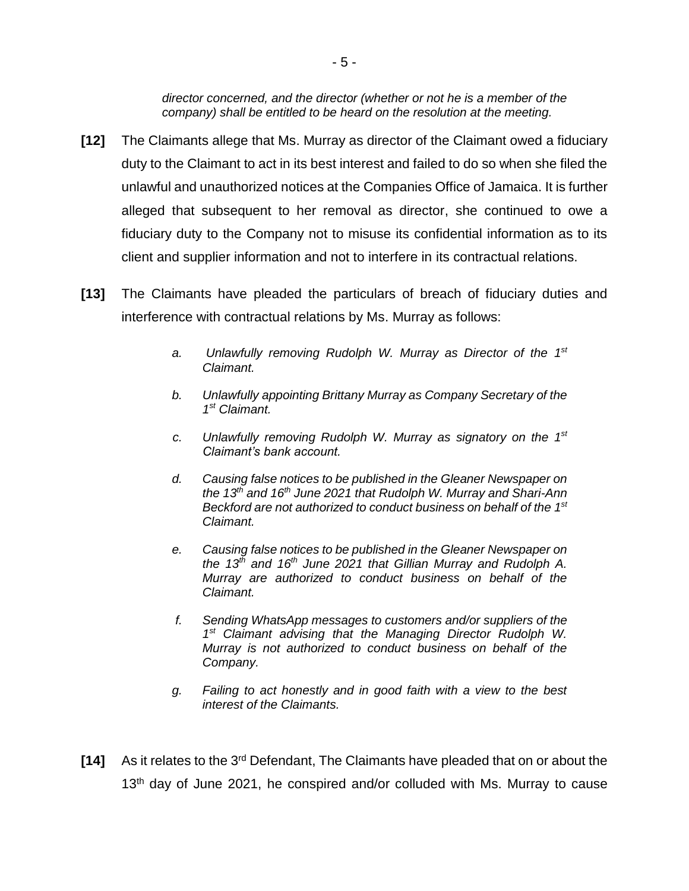*director concerned, and the director (whether or not he is a member of the company) shall be entitled to be heard on the resolution at the meeting.*

- **[12]** The Claimants allege that Ms. Murray as director of the Claimant owed a fiduciary duty to the Claimant to act in its best interest and failed to do so when she filed the unlawful and unauthorized notices at the Companies Office of Jamaica. It is further alleged that subsequent to her removal as director, she continued to owe a fiduciary duty to the Company not to misuse its confidential information as to its client and supplier information and not to interfere in its contractual relations.
- **[13]** The Claimants have pleaded the particulars of breach of fiduciary duties and interference with contractual relations by Ms. Murray as follows:
	- *a. Unlawfully removing Rudolph W. Murray as Director of the 1 st Claimant.*
	- *b. Unlawfully appointing Brittany Murray as Company Secretary of the 1 st Claimant.*
	- *c. Unlawfully removing Rudolph W. Murray as signatory on the 1 st Claimant's bank account.*
	- *d. Causing false notices to be published in the Gleaner Newspaper on the 13th and 16th June 2021 that Rudolph W. Murray and Shari-Ann Beckford are not authorized to conduct business on behalf of the 1 st Claimant.*
	- *e. Causing false notices to be published in the Gleaner Newspaper on the 13th and 16th June 2021 that Gillian Murray and Rudolph A. Murray are authorized to conduct business on behalf of the Claimant.*
	- *f. Sending WhatsApp messages to customers and/or suppliers of the 1 st Claimant advising that the Managing Director Rudolph W. Murray is not authorized to conduct business on behalf of the Company.*
	- *g. Failing to act honestly and in good faith with a view to the best interest of the Claimants.*
- **[14]** As it relates to the 3rd Defendant, The Claimants have pleaded that on or about the  $13<sup>th</sup>$  day of June 2021, he conspired and/or colluded with Ms. Murray to cause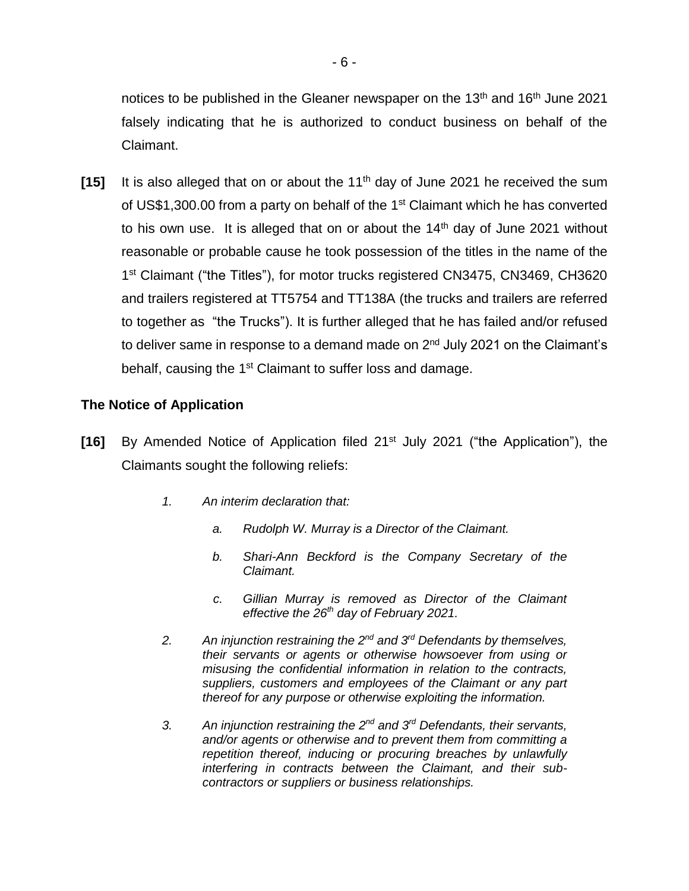notices to be published in the Gleaner newspaper on the 13<sup>th</sup> and 16<sup>th</sup> June 2021 falsely indicating that he is authorized to conduct business on behalf of the Claimant.

**[15]** It is also alleged that on or about the 11th day of June 2021 he received the sum of US\$1,300.00 from a party on behalf of the  $1<sup>st</sup>$  Claimant which he has converted to his own use. It is alleged that on or about the  $14<sup>th</sup>$  day of June 2021 without reasonable or probable cause he took possession of the titles in the name of the 1<sup>st</sup> Claimant ("the Titles"), for motor trucks registered CN3475, CN3469, CH3620 and trailers registered at TT5754 and TT138A (the trucks and trailers are referred to together as "the Trucks"). It is further alleged that he has failed and/or refused to deliver same in response to a demand made on  $2<sup>nd</sup>$  July 2021 on the Claimant's behalf, causing the 1<sup>st</sup> Claimant to suffer loss and damage.

### **The Notice of Application**

- **[16]** By Amended Notice of Application filed 21<sup>st</sup> July 2021 ("the Application"), the Claimants sought the following reliefs:
	- *1. An interim declaration that:*
		- *a. Rudolph W. Murray is a Director of the Claimant.*
		- *b. Shari-Ann Beckford is the Company Secretary of the Claimant.*
		- *c. Gillian Murray is removed as Director of the Claimant effective the 26th day of February 2021.*
	- *2. An injunction restraining the 2nd and 3rd Defendants by themselves, their servants or agents or otherwise howsoever from using or misusing the confidential information in relation to the contracts, suppliers, customers and employees of the Claimant or any part thereof for any purpose or otherwise exploiting the information.*
	- *3. An injunction restraining the 2nd and 3rd Defendants, their servants, and/or agents or otherwise and to prevent them from committing a repetition thereof, inducing or procuring breaches by unlawfully interfering in contracts between the Claimant, and their subcontractors or suppliers or business relationships.*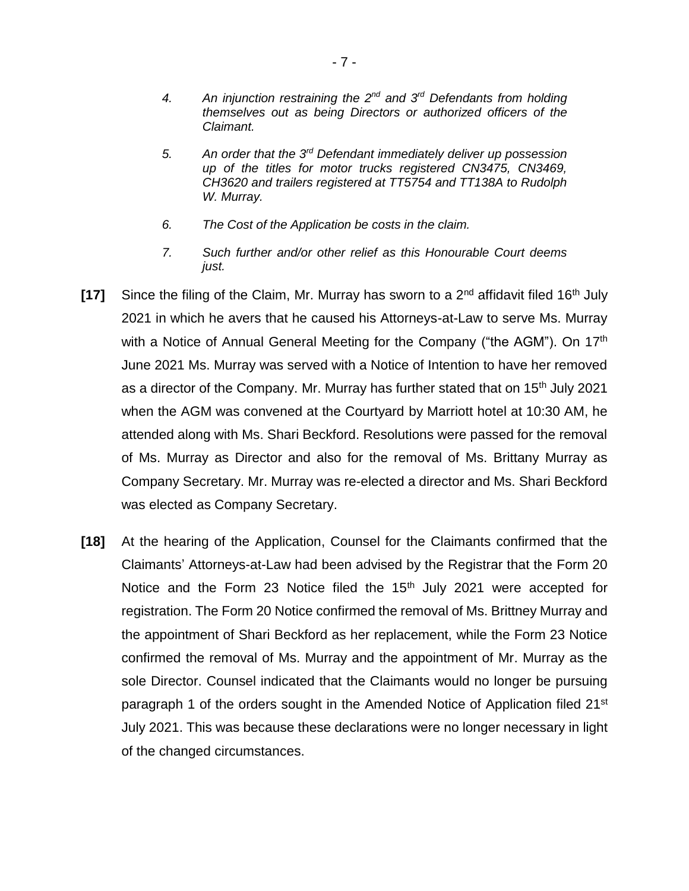- *4. An injunction restraining the 2nd and 3rd Defendants from holding themselves out as being Directors or authorized officers of the Claimant.*
- *5. An order that the 3rd Defendant immediately deliver up possession up of the titles for motor trucks registered CN3475, CN3469, CH3620 and trailers registered at TT5754 and TT138A to Rudolph W. Murray.*
- *6. The Cost of the Application be costs in the claim.*
- *7. Such further and/or other relief as this Honourable Court deems just.*
- **[17]** Since the filing of the Claim, Mr. Murray has sworn to a 2<sup>nd</sup> affidavit filed 16<sup>th</sup> July 2021 in which he avers that he caused his Attorneys-at-Law to serve Ms. Murray with a Notice of Annual General Meeting for the Company ("the AGM"). On 17<sup>th</sup> June 2021 Ms. Murray was served with a Notice of Intention to have her removed as a director of the Company. Mr. Murray has further stated that on 15<sup>th</sup> July 2021 when the AGM was convened at the Courtyard by Marriott hotel at 10:30 AM, he attended along with Ms. Shari Beckford. Resolutions were passed for the removal of Ms. Murray as Director and also for the removal of Ms. Brittany Murray as Company Secretary. Mr. Murray was re-elected a director and Ms. Shari Beckford was elected as Company Secretary.
- **[18]** At the hearing of the Application, Counsel for the Claimants confirmed that the Claimants' Attorneys-at-Law had been advised by the Registrar that the Form 20 Notice and the Form 23 Notice filed the 15<sup>th</sup> July 2021 were accepted for registration. The Form 20 Notice confirmed the removal of Ms. Brittney Murray and the appointment of Shari Beckford as her replacement, while the Form 23 Notice confirmed the removal of Ms. Murray and the appointment of Mr. Murray as the sole Director. Counsel indicated that the Claimants would no longer be pursuing paragraph 1 of the orders sought in the Amended Notice of Application filed 21<sup>st</sup> July 2021. This was because these declarations were no longer necessary in light of the changed circumstances.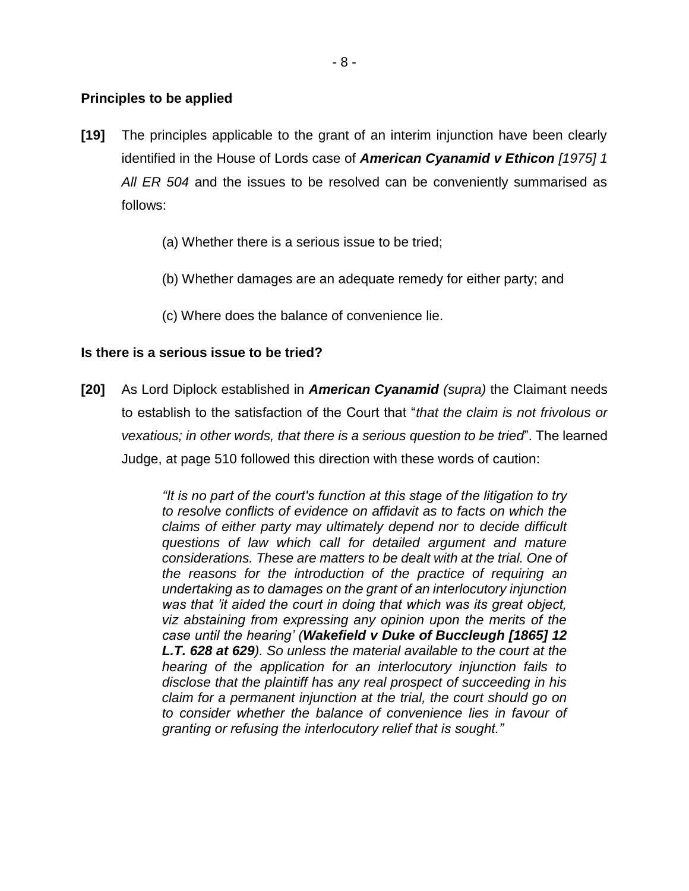#### **Principles to be applied**

- **[19]** The principles applicable to the grant of an interim injunction have been clearly identified in the House of Lords case of *American Cyanamid v Ethicon [1975] 1 All ER 504* and the issues to be resolved can be conveniently summarised as follows:
	- (a) Whether there is a serious issue to be tried;
	- (b) Whether damages are an adequate remedy for either party; and
	- (c) Where does the balance of convenience lie.

### **Is there is a serious issue to be tried?**

**[20]** As Lord Diplock established in *American Cyanamid (supra)* the Claimant needs to establish to the satisfaction of the Court that "*that the claim is not frivolous or vexatious; in other words, that there is a serious question to be tried*". The learned Judge, at page 510 followed this direction with these words of caution:

> *"It is no part of the court's function at this stage of the litigation to try to resolve conflicts of evidence on affidavit as to facts on which the claims of either party may ultimately depend nor to decide difficult questions of law which call for detailed argument and mature considerations. These are matters to be dealt with at the trial. One of the reasons for the introduction of the practice of requiring an undertaking as to damages on the grant of an interlocutory injunction was that 'it aided the court in doing that which was its great object, viz abstaining from expressing any opinion upon the merits of the case until the hearing' (Wakefield v Duke of Buccleugh [1865] 12 L.T. 628 at 629). So unless the material available to the court at the hearing of the application for an interlocutory injunction fails to disclose that the plaintiff has any real prospect of succeeding in his claim for a permanent injunction at the trial, the court should go on to consider whether the balance of convenience lies in favour of granting or refusing the interlocutory relief that is sought."*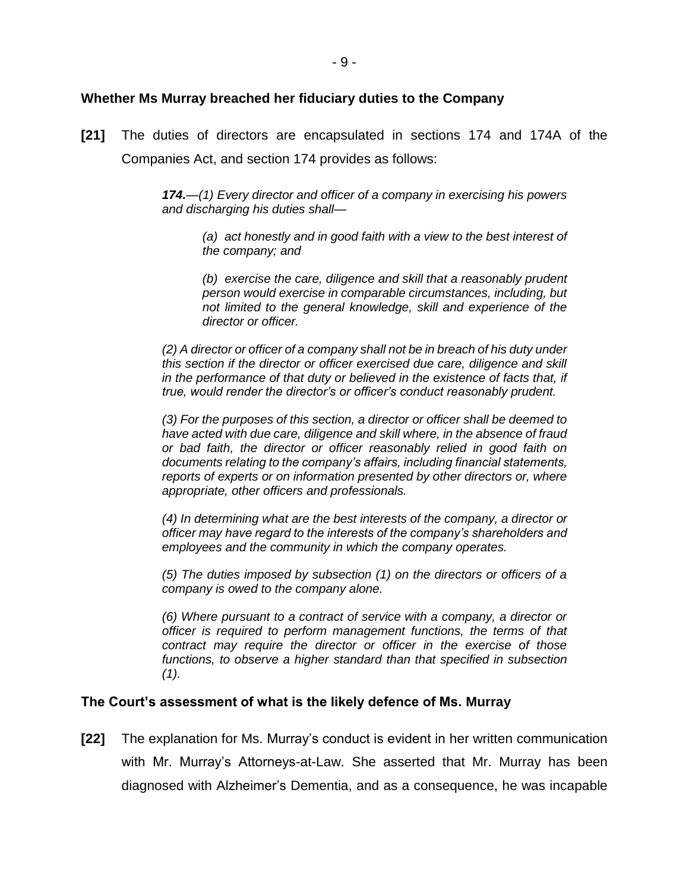**[21]** The duties of directors are encapsulated in sections 174 and 174A of the Companies Act, and section 174 provides as follows:

> *174.—(1) Every director and officer of a company in exercising his powers and discharging his duties shall—*

*(a) act honestly and in good faith with a view to the best interest of the company; and* 

*(b) exercise the care, diligence and skill that a reasonably prudent person would exercise in comparable circumstances, including, but not limited to the general knowledge, skill and experience of the director or officer.* 

*(2) A director or officer of a company shall not be in breach of his duty under this section if the director or officer exercised due care, diligence and skill in the performance of that duty or believed in the existence of facts that, if true, would render the director's or officer's conduct reasonably prudent.* 

*(3) For the purposes of this section, a director or officer shall be deemed to have acted with due care, diligence and skill where, in the absence of fraud or bad faith, the director or officer reasonably relied in good faith on documents relating to the company's affairs, including financial statements,*  reports of experts or on information presented by other directors or, where *appropriate, other officers and professionals.* 

*(4) In determining what are the best interests of the company, a director or officer may have regard to the interests of the company's shareholders and employees and the community in which the company operates.* 

*(5) The duties imposed by subsection (1) on the directors or officers of a company is owed to the company alone.*

*(6) Where pursuant to a contract of service with a company, a director or officer is required to perform management functions, the terms of that contract may require the director or officer in the exercise of those functions, to observe a higher standard than that specified in subsection (1).*

### **The Court's assessment of what is the likely defence of Ms. Murray**

**[22]** The explanation for Ms. Murray's conduct is evident in her written communication with Mr. Murray's Attorneys-at-Law. She asserted that Mr. Murray has been diagnosed with Alzheimer's Dementia, and as a consequence, he was incapable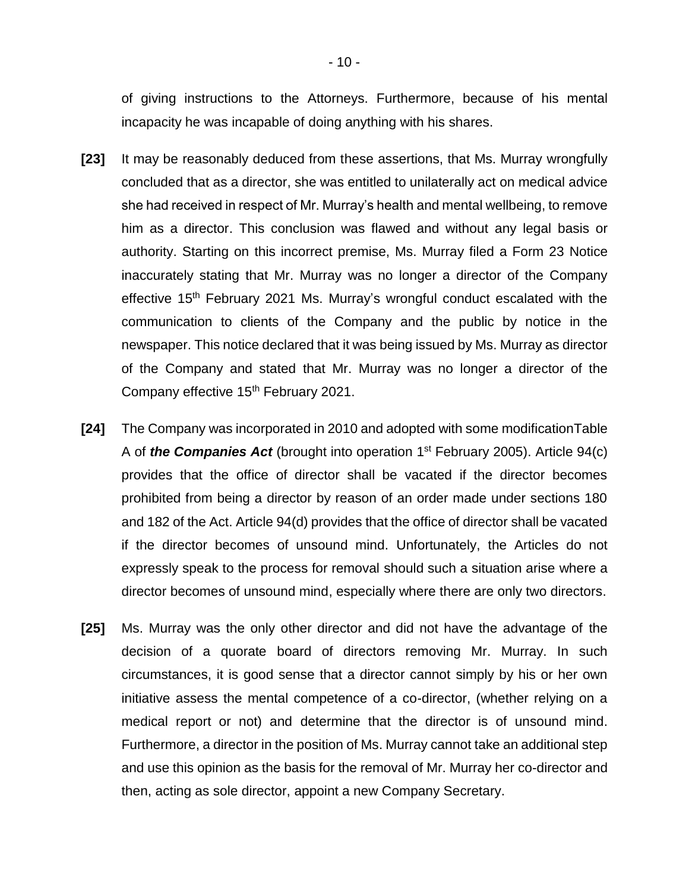of giving instructions to the Attorneys. Furthermore, because of his mental incapacity he was incapable of doing anything with his shares.

- **[23]** It may be reasonably deduced from these assertions, that Ms. Murray wrongfully concluded that as a director, she was entitled to unilaterally act on medical advice she had received in respect of Mr. Murray's health and mental wellbeing, to remove him as a director. This conclusion was flawed and without any legal basis or authority. Starting on this incorrect premise, Ms. Murray filed a Form 23 Notice inaccurately stating that Mr. Murray was no longer a director of the Company effective 15<sup>th</sup> February 2021 Ms. Murray's wrongful conduct escalated with the communication to clients of the Company and the public by notice in the newspaper. This notice declared that it was being issued by Ms. Murray as director of the Company and stated that Mr. Murray was no longer a director of the Company effective 15<sup>th</sup> February 2021.
- **[24]** The Company was incorporated in 2010 and adopted with some modificationTable A of *the Companies Act* (brought into operation 1<sup>st</sup> February 2005). Article 94(c) provides that the office of director shall be vacated if the director becomes prohibited from being a director by reason of an order made under sections 180 and 182 of the Act. Article 94(d) provides that the office of director shall be vacated if the director becomes of unsound mind. Unfortunately, the Articles do not expressly speak to the process for removal should such a situation arise where a director becomes of unsound mind, especially where there are only two directors.
- **[25]** Ms. Murray was the only other director and did not have the advantage of the decision of a quorate board of directors removing Mr. Murray. In such circumstances, it is good sense that a director cannot simply by his or her own initiative assess the mental competence of a co-director, (whether relying on a medical report or not) and determine that the director is of unsound mind. Furthermore, a director in the position of Ms. Murray cannot take an additional step and use this opinion as the basis for the removal of Mr. Murray her co-director and then, acting as sole director, appoint a new Company Secretary.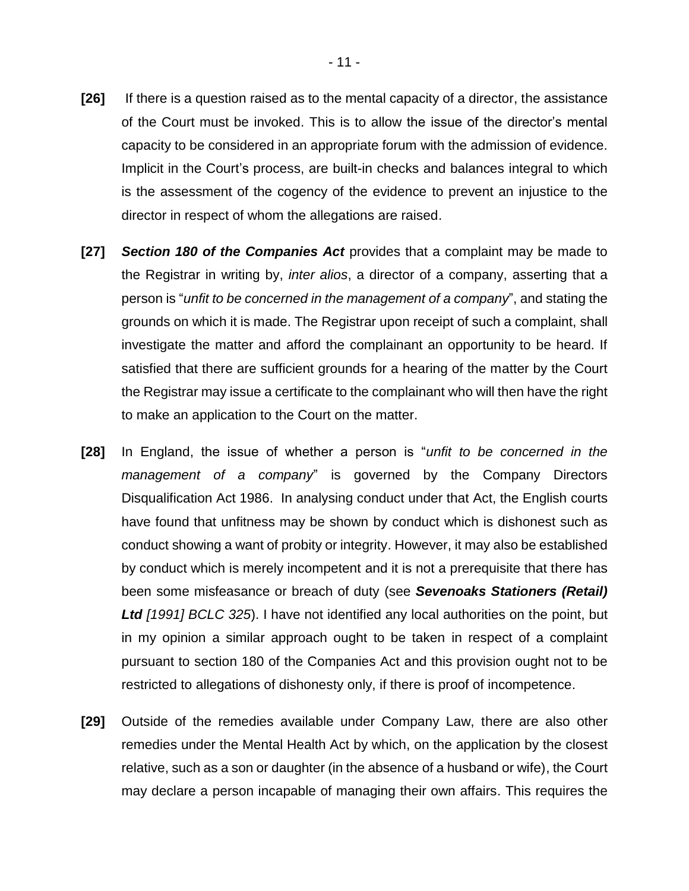- **[26]** If there is a question raised as to the mental capacity of a director, the assistance of the Court must be invoked. This is to allow the issue of the director's mental capacity to be considered in an appropriate forum with the admission of evidence. Implicit in the Court's process, are built-in checks and balances integral to which is the assessment of the cogency of the evidence to prevent an injustice to the director in respect of whom the allegations are raised.
- **[27]** *Section 180 of the Companies Act* provides that a complaint may be made to the Registrar in writing by, *inter alios*, a director of a company, asserting that a person is "*unfit to be concerned in the management of a company*", and stating the grounds on which it is made. The Registrar upon receipt of such a complaint, shall investigate the matter and afford the complainant an opportunity to be heard. If satisfied that there are sufficient grounds for a hearing of the matter by the Court the Registrar may issue a certificate to the complainant who will then have the right to make an application to the Court on the matter.
- **[28]** In England, the issue of whether a person is "*unfit to be concerned in the management of a company*" is governed by the Company Directors Disqualification Act 1986. In analysing conduct under that Act, the English courts have found that unfitness may be shown by conduct which is dishonest such as conduct showing a want of probity or integrity. However, it may also be established by conduct which is merely incompetent and it is not a prerequisite that there has been some misfeasance or breach of duty (see *Sevenoaks Stationers (Retail) Ltd [1991] BCLC 325*). I have not identified any local authorities on the point, but in my opinion a similar approach ought to be taken in respect of a complaint pursuant to section 180 of the Companies Act and this provision ought not to be restricted to allegations of dishonesty only, if there is proof of incompetence.
- **[29]** Outside of the remedies available under Company Law, there are also other remedies under the Mental Health Act by which, on the application by the closest relative, such as a son or daughter (in the absence of a husband or wife), the Court may declare a person incapable of managing their own affairs. This requires the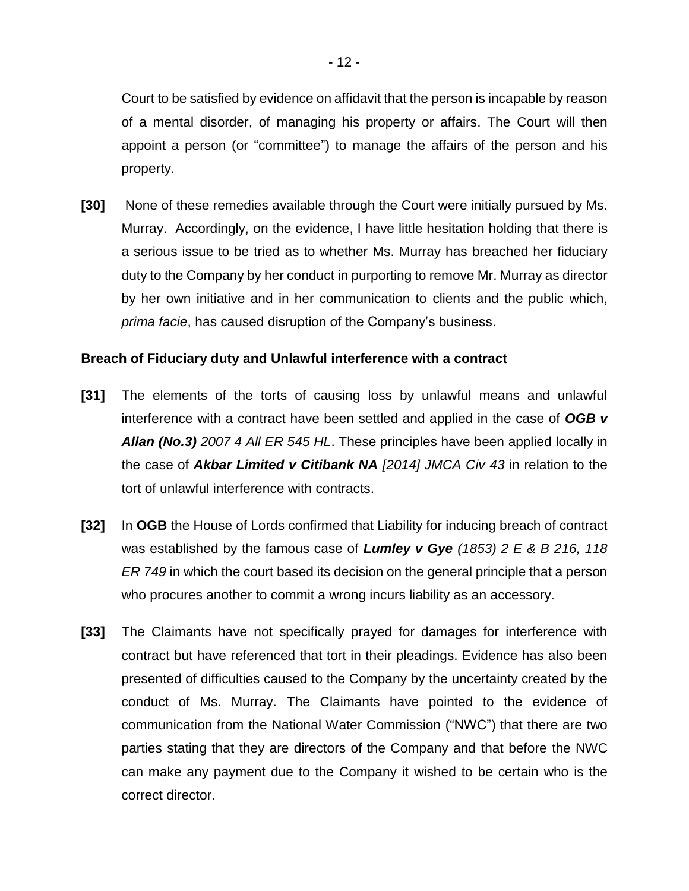Court to be satisfied by evidence on affidavit that the person is incapable by reason of a mental disorder, of managing his property or affairs. The Court will then appoint a person (or "committee") to manage the affairs of the person and his property.

**[30]** None of these remedies available through the Court were initially pursued by Ms. Murray. Accordingly, on the evidence, I have little hesitation holding that there is a serious issue to be tried as to whether Ms. Murray has breached her fiduciary duty to the Company by her conduct in purporting to remove Mr. Murray as director by her own initiative and in her communication to clients and the public which, *prima facie*, has caused disruption of the Company's business.

### **Breach of Fiduciary duty and Unlawful interference with a contract**

- **[31]** The elements of the torts of causing loss by unlawful means and unlawful interference with a contract have been settled and applied in the case of *OGB v Allan (No.3) 2007 4 All ER 545 HL*. These principles have been applied locally in the case of *Akbar Limited v Citibank NA [2014] JMCA Civ 43* in relation to the tort of unlawful interference with contracts.
- **[32]** In **OGB** the House of Lords confirmed that Liability for inducing breach of contract was established by the famous case of *Lumley v Gye (1853) 2 E & B 216, 118 ER 749* in which the court based its decision on the general principle that a person who procures another to commit a wrong incurs liability as an accessory.
- **[33]** The Claimants have not specifically prayed for damages for interference with contract but have referenced that tort in their pleadings. Evidence has also been presented of difficulties caused to the Company by the uncertainty created by the conduct of Ms. Murray. The Claimants have pointed to the evidence of communication from the National Water Commission ("NWC") that there are two parties stating that they are directors of the Company and that before the NWC can make any payment due to the Company it wished to be certain who is the correct director.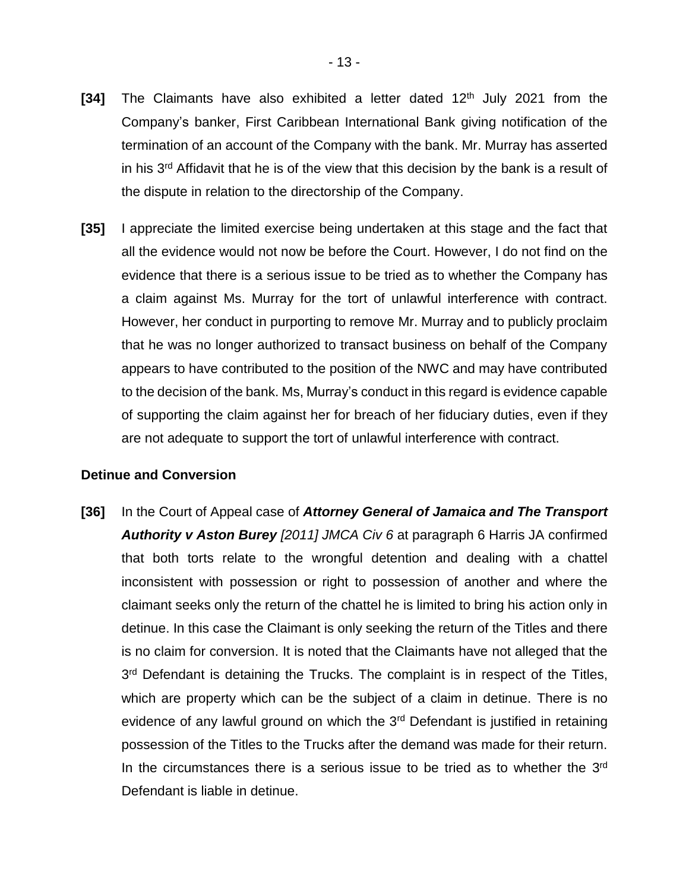- [34] The Claimants have also exhibited a letter dated 12<sup>th</sup> July 2021 from the Company's banker, First Caribbean International Bank giving notification of the termination of an account of the Company with the bank. Mr. Murray has asserted in his  $3<sup>rd</sup>$  Affidavit that he is of the view that this decision by the bank is a result of the dispute in relation to the directorship of the Company.
- **[35]** I appreciate the limited exercise being undertaken at this stage and the fact that all the evidence would not now be before the Court. However, I do not find on the evidence that there is a serious issue to be tried as to whether the Company has a claim against Ms. Murray for the tort of unlawful interference with contract. However, her conduct in purporting to remove Mr. Murray and to publicly proclaim that he was no longer authorized to transact business on behalf of the Company appears to have contributed to the position of the NWC and may have contributed to the decision of the bank. Ms, Murray's conduct in this regard is evidence capable of supporting the claim against her for breach of her fiduciary duties, even if they are not adequate to support the tort of unlawful interference with contract.

#### **Detinue and Conversion**

**[36]** In the Court of Appeal case of *Attorney General of Jamaica and The Transport Authority v Aston Burey [2011] JMCA Civ 6* at paragraph 6 Harris JA confirmed that both torts relate to the wrongful detention and dealing with a chattel inconsistent with possession or right to possession of another and where the claimant seeks only the return of the chattel he is limited to bring his action only in detinue. In this case the Claimant is only seeking the return of the Titles and there is no claim for conversion. It is noted that the Claimants have not alleged that the 3<sup>rd</sup> Defendant is detaining the Trucks. The complaint is in respect of the Titles, which are property which can be the subject of a claim in detinue. There is no evidence of any lawful ground on which the 3<sup>rd</sup> Defendant is justified in retaining possession of the Titles to the Trucks after the demand was made for their return. In the circumstances there is a serious issue to be tried as to whether the  $3<sup>rd</sup>$ Defendant is liable in detinue.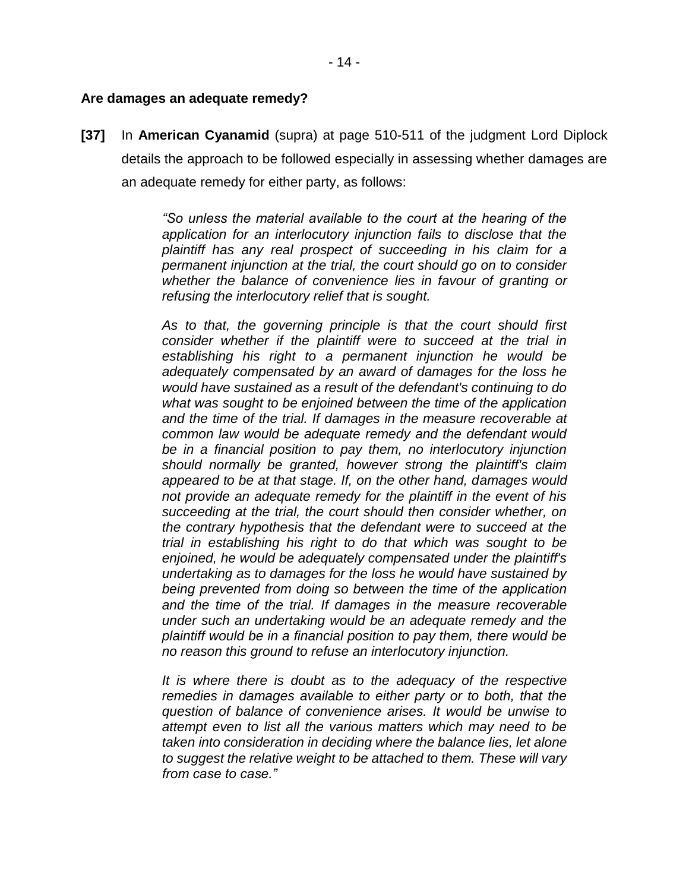#### **Are damages an adequate remedy?**

**[37]** In **American Cyanamid** (supra) at page 510-511 of the judgment Lord Diplock details the approach to be followed especially in assessing whether damages are an adequate remedy for either party, as follows:

> *"So unless the material available to the court at the hearing of the application for an interlocutory injunction fails to disclose that the plaintiff has any real prospect of succeeding in his claim for a permanent injunction at the trial, the court should go on to consider whether the balance of convenience lies in favour of granting or refusing the interlocutory relief that is sought.*

> *As to that, the governing principle is that the court should first consider whether if the plaintiff were to succeed at the trial in establishing his right to a permanent injunction he would be adequately compensated by an award of damages for the loss he would have sustained as a result of the defendant's continuing to do what was sought to be enjoined between the time of the application and the time of the trial. If damages in the measure recoverable at common law would be adequate remedy and the defendant would be in a financial position to pay them, no interlocutory injunction should normally be granted, however strong the plaintiff's claim appeared to be at that stage. If, on the other hand, damages would not provide an adequate remedy for the plaintiff in the event of his succeeding at the trial, the court should then consider whether, on the contrary hypothesis that the defendant were to succeed at the trial in establishing his right to do that which was sought to be enjoined, he would be adequately compensated under the plaintiff's undertaking as to damages for the loss he would have sustained by being prevented from doing so between the time of the application and the time of the trial. If damages in the measure recoverable under such an undertaking would be an adequate remedy and the plaintiff would be in a financial position to pay them, there would be no reason this ground to refuse an interlocutory injunction.*

> *It is where there is doubt as to the adequacy of the respective remedies in damages available to either party or to both, that the question of balance of convenience arises. It would be unwise to attempt even to list all the various matters which may need to be taken into consideration in deciding where the balance lies, let alone to suggest the relative weight to be attached to them. These will vary from case to case."*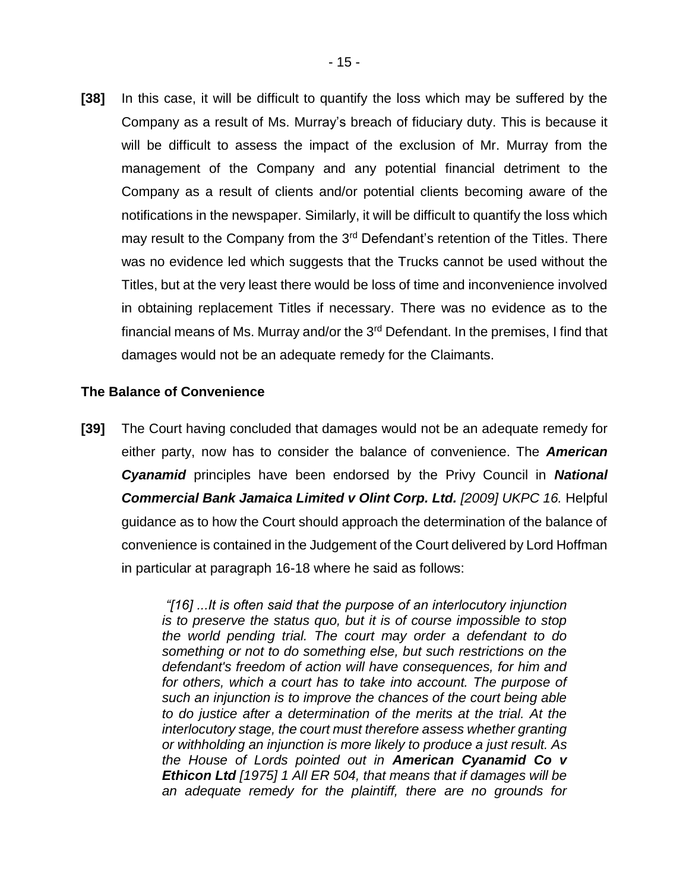**[38]** In this case, it will be difficult to quantify the loss which may be suffered by the Company as a result of Ms. Murray's breach of fiduciary duty. This is because it will be difficult to assess the impact of the exclusion of Mr. Murray from the management of the Company and any potential financial detriment to the Company as a result of clients and/or potential clients becoming aware of the notifications in the newspaper. Similarly, it will be difficult to quantify the loss which may result to the Company from the 3<sup>rd</sup> Defendant's retention of the Titles. There was no evidence led which suggests that the Trucks cannot be used without the Titles, but at the very least there would be loss of time and inconvenience involved in obtaining replacement Titles if necessary. There was no evidence as to the financial means of Ms. Murray and/or the  $3<sup>rd</sup>$  Defendant. In the premises, I find that damages would not be an adequate remedy for the Claimants.

#### **The Balance of Convenience**

**[39]** The Court having concluded that damages would not be an adequate remedy for either party, now has to consider the balance of convenience. The *American Cyanamid* principles have been endorsed by the Privy Council in *National Commercial Bank Jamaica Limited v Olint Corp. Ltd. [2009] UKPC 16.* Helpful guidance as to how the Court should approach the determination of the balance of convenience is contained in the Judgement of the Court delivered by Lord Hoffman in particular at paragraph 16-18 where he said as follows:

> *"[16] ...It is often said that the purpose of an interlocutory injunction is to preserve the status quo, but it is of course impossible to stop the world pending trial. The court may order a defendant to do something or not to do something else, but such restrictions on the defendant's freedom of action will have consequences, for him and for others, which a court has to take into account. The purpose of such an injunction is to improve the chances of the court being able to do justice after a determination of the merits at the trial. At the interlocutory stage, the court must therefore assess whether granting or withholding an injunction is more likely to produce a just result. As the House of Lords pointed out in American Cyanamid Co v Ethicon Ltd [1975] 1 All ER 504, that means that if damages will be an adequate remedy for the plaintiff, there are no grounds for*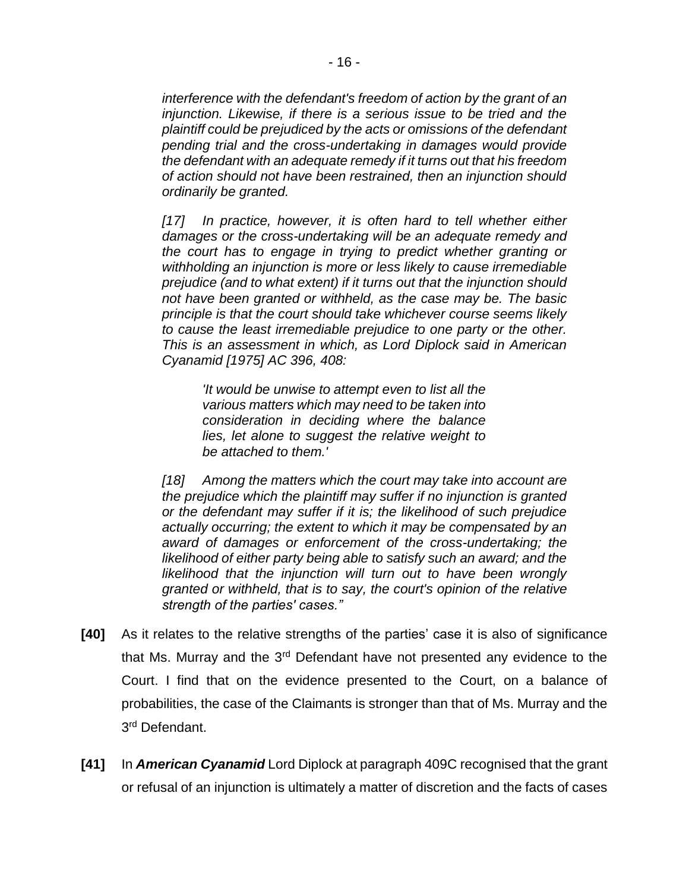*interference with the defendant's freedom of action by the grant of an injunction. Likewise, if there is a serious issue to be tried and the plaintiff could be prejudiced by the acts or omissions of the defendant pending trial and the cross-undertaking in damages would provide the defendant with an adequate remedy if it turns out that his freedom of action should not have been restrained, then an injunction should ordinarily be granted.*

*[17] In practice, however, it is often hard to tell whether either damages or the cross-undertaking will be an adequate remedy and the court has to engage in trying to predict whether granting or withholding an injunction is more or less likely to cause irremediable prejudice (and to what extent) if it turns out that the injunction should not have been granted or withheld, as the case may be. The basic principle is that the court should take whichever course seems likely to cause the least irremediable prejudice to one party or the other. This is an assessment in which, as Lord Diplock said in American Cyanamid [1975] AC 396, 408:* 

> *'It would be unwise to attempt even to list all the various matters which may need to be taken into consideration in deciding where the balance lies, let alone to suggest the relative weight to be attached to them.'*

*[18] Among the matters which the court may take into account are the prejudice which the plaintiff may suffer if no injunction is granted or the defendant may suffer if it is; the likelihood of such prejudice actually occurring; the extent to which it may be compensated by an award of damages or enforcement of the cross-undertaking; the likelihood of either party being able to satisfy such an award; and the likelihood that the injunction will turn out to have been wrongly granted or withheld, that is to say, the court's opinion of the relative strength of the parties' cases."*

- **[40]** As it relates to the relative strengths of the parties' case it is also of significance that Ms. Murray and the 3<sup>rd</sup> Defendant have not presented any evidence to the Court. I find that on the evidence presented to the Court, on a balance of probabilities, the case of the Claimants is stronger than that of Ms. Murray and the 3<sup>rd</sup> Defendant.
- **[41]** In *American Cyanamid* Lord Diplock at paragraph 409C recognised that the grant or refusal of an injunction is ultimately a matter of discretion and the facts of cases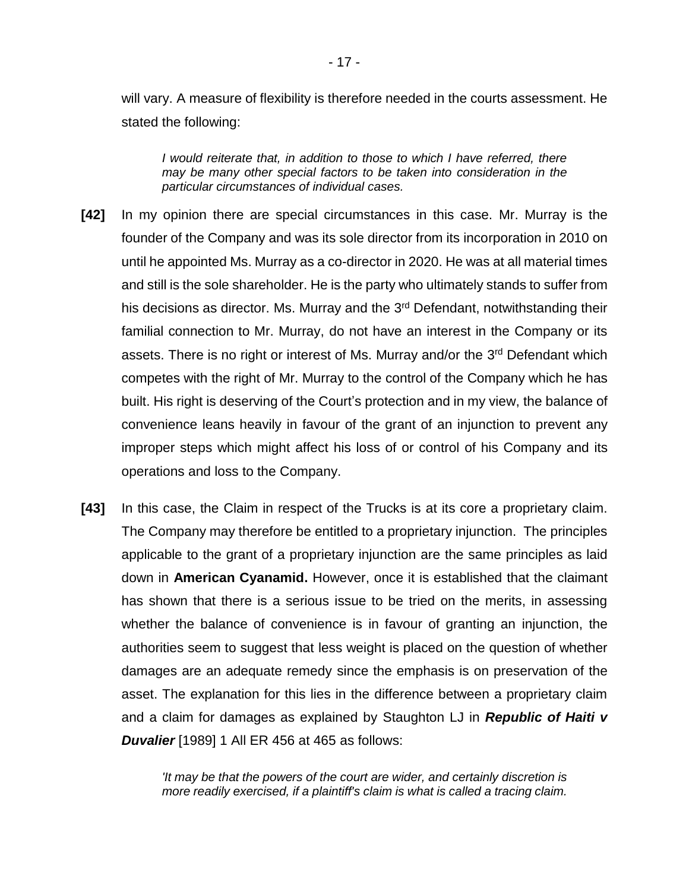will vary. A measure of flexibility is therefore needed in the courts assessment. He stated the following:

*I* would reiterate that, in addition to those to which I have referred, there *may be many other special factors to be taken into consideration in the particular circumstances of individual cases.* 

- **[42]** In my opinion there are special circumstances in this case. Mr. Murray is the founder of the Company and was its sole director from its incorporation in 2010 on until he appointed Ms. Murray as a co-director in 2020. He was at all material times and still is the sole shareholder. He is the party who ultimately stands to suffer from his decisions as director. Ms. Murray and the 3<sup>rd</sup> Defendant, notwithstanding their familial connection to Mr. Murray, do not have an interest in the Company or its assets. There is no right or interest of Ms. Murray and/or the 3<sup>rd</sup> Defendant which competes with the right of Mr. Murray to the control of the Company which he has built. His right is deserving of the Court's protection and in my view, the balance of convenience leans heavily in favour of the grant of an injunction to prevent any improper steps which might affect his loss of or control of his Company and its operations and loss to the Company.
- **[43]** In this case, the Claim in respect of the Trucks is at its core a proprietary claim. The Company may therefore be entitled to a proprietary injunction. The principles applicable to the grant of a proprietary injunction are the same principles as laid down in **American Cyanamid.** However, once it is established that the claimant has shown that there is a serious issue to be tried on the merits, in assessing whether the balance of convenience is in favour of granting an injunction, the authorities seem to suggest that less weight is placed on the question of whether damages are an adequate remedy since the emphasis is on preservation of the asset. The explanation for this lies in the difference between a proprietary claim and a claim for damages as explained by Staughton LJ in *Republic of Haiti v Duvalier* [\[1989\] 1 All ER 456 at 465](https://www.lexisnexis.com/uk/legal/citationlinkHandler.faces?bct=A&service=citation&risb=&ALLER&$sel1!%251989%25$year!%251989%25$sel2!%251%25$vol!%251%25$page!%25456%25$tpage!%25465%25) as follows:

*'It may be that the powers of the court are wider, and certainly discretion is more readily exercised, if a plaintiff's claim is what is called a tracing claim.*